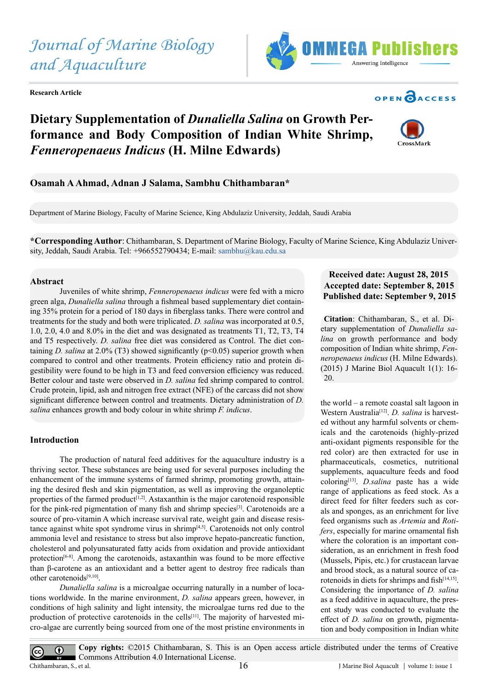*and Aquaculture*

*Journal of Marine Biology* 

**Research Article**

**Dietary Supplementation of** *Dunaliella Salina* **on Growth Performance and Body Composition of Indian White Shrimp,** 

**Osamah A Ahmad, Adnan J Salama, Sambhu Chithambaran\***

*Fenneropenaeus Indicus* **(H. Milne Edwards)**

Department of Marine Biology, Faculty of Marine Science, King Abdulaziz University, Jeddah, Saudi Arabia

**\*Corresponding Author**: Chithambaran, S. Department of Marine Biology, Faculty of Marine Science, King Abdulaziz University, Jeddah, Saudi Arabia. Tel: +966552790434; E-mail: [sambhu@kau.edu.sa](mailto:sambhu%40kau.edu.sa?subject=)

### **Abstract**

Juveniles of white shrimp, *Fenneropenaeus indicus* were fed with a micro green alga, *Dunaliella salina* through a fishmeal based supplementary diet containing 35% protein for a period of 180 days in fiberglass tanks. There were control and treatments for the study and both were triplicated. *D. salina* was incorporated at 0.5, 1.0, 2.0, 4.0 and 8.0% in the diet and was designated as treatments T1, T2, T3, T4 and T5 respectively. *D. salina* free diet was considered as Control. The diet containing *D. salina* at 2.0% (T3) showed significantly (p<0.05) superior growth when compared to control and other treatments. Protein efficiency ratio and protein digestibility were found to be high in T3 and feed conversion efficiency was reduced. Better colour and taste were observed in *D. salina* fed shrimp compared to control. Crude protein, lipid, ash and nitrogen free extract (NFE) of the carcass did not show significant difference between control and treatments. Dietary administration of *D. salina* enhances growth and body colour in white shrimp *F. indicus*.

### **Introduction**

The production of natural feed additives for the aquaculture industry is a thriving sector. These substances are being used for several purposes including the enhancement of the immune systems of farmed shrimp, promoting growth, attaining the desired flesh and skin pigmentation, as well as improving the organoleptic properties of the farmed product<sup> $[1,2]$ </sup>. Astaxanthin is the major carotenoid responsible for the pink-red pigmentation of many fish and shrimp species<sup>[3]</sup>. Carotenoids are a source of pro-vitamin A which increase survival rate, weight gain and disease resistance against white spot syndrome virus in shrimp[\[4,5\].](#page-4-2) Carotenoids not only control ammonia level and resistance to stress but also improve hepato-pancreatic function, cholesterol and polyunsaturated fatty acids from oxidation and provide antioxidant protection<sup>[6-8]</sup>. Among the carotenoids, astaxanthin was found to be more effective than β-carotene as an antioxidant and a better agent to destroy free radicals than other carotenoids[\[9,10\].](#page-4-4)

*Dunaliella salina* is a microalgae occurring naturally in a number of locations worldwide. In the marine environment, *D. salina* appears green, however, in conditions of high salinity and light intensity, the microalgae turns red due to the production of protective carotenoids in the cells<sup>[\[11\]](#page-4-5)</sup>. The majority of harvested micro-algae are currently being sourced from one of the most pristine environments in

# **Received date: August 28, 2015 Accepted date: September 8, 2015 Published date: September 9, 2015**

**Citation**: Chithambaran, S., et al. Dietary supplementation of *Dunaliella salina* on growth performance and body composition of Indian white shrimp, *Fenneropenaeus indicus* (H. Milne Edwards). (2015) J Marine Biol Aquacult 1(1): 16- 20.

the world – a remote coastal salt lagoon in Western Australia<sup>[12]</sup>. *D. salina* is harvested without any harmful solvents or chemicals and the carotenoids (highly-prized anti-oxidant pigments responsible for the red color) are then extracted for use in pharmaceuticals, cosmetics, nutritional supplements, aquaculture feeds and food coloring[\[13\]](#page-4-7). *D.salina* paste has a wide range of applications as feed stock. As a direct feed for filter feeders such as corals and sponges, as an enrichment for live feed organisms such as *Artemia* and *Rotifers*, especially for marine ornamental fish where the coloration is an important consideration, as an enrichment in fresh food (Mussels, Pipis, etc.) for crustacean larvae and brood stock, as a natural source of ca-rotenoids in diets for shrimps and fish<sup>[\[14,15\]](#page-4-8)</sup>. Considering the importance of *D. salina* as a feed additive in aquaculture, the present study was conducted to evaluate the effect of *D. salina* on growth, pigmentation and body composition in Indian white

 $\left(\mathrm{cc}\right)$ 





**OPEN CACCESS** 

**Copy rights:** ©2015 Chithambaran, S. This is an Open access article distributed under the terms of Creative  $\odot$ Commons Attribution 4.0 International License. Chithambaran, S., et al. 16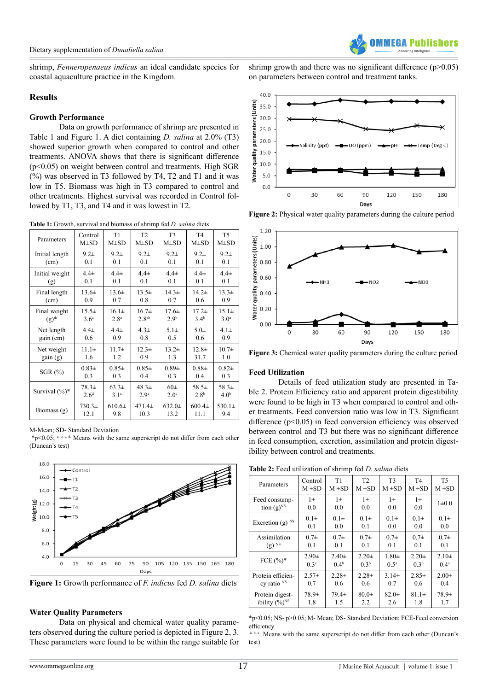shrimp, *Fenneropenaeus indicus* an ideal candidate species for coastal aquaculture practice in the Kingdom.

### **Results**

### **Growth Performance**

Data on growth performance of shrimp are presented in Table 1 and Figure 1. A diet containing *D. salina* at 2.0% (T3) showed superior growth when compared to control and other treatments. ANOVA shows that there is significant difference (p<0.05) on weight between control and treatments. High SGR  $(%)$  was observed in T3 followed by T4, T2 and T1 and it was low in T5. Biomass was high in T3 compared to control and other treatments. Highest survival was recorded in Control followed by T1, T3, and T4 and it was lowest in T2.

**Table 1:** Growth, survival and biomass of shrimp fed *D. salina* diets

| Parameters        | Control          | T1                | T2                | T <sub>3</sub>   | T <sub>4</sub>   | T <sub>5</sub>   |
|-------------------|------------------|-------------------|-------------------|------------------|------------------|------------------|
|                   | $M\pm SD$        | $M\pm SD$         | $M\pm SD$         | $M\pm SD$        | $M\pm SD$        | $M\pm SD$        |
| Initial length    | $9.2\pm$         | $9.2\pm$          | $9.2\pm$          | $9.2\pm$         | $9.2\pm$         | $9.2\pm$         |
| (cm)              | 0.1              | 0.1               | 0.1               | 0.1              | 0.1              | 0.1              |
| Initial weight    | $4.4\pm$         | $4.4\pm$          | $4.4\pm$          | $4.4\pm$         | $4.4\pm$         | $4.4\pm$         |
| (g)               | 0.1              | 0.1               | 0.1               | 0.1              | 0.1              | 0.1              |
| Final length      | $13.6\pm$        | $13.6\pm$         | $13.5\pm$         | $14.3+$          | $14.2 \pm$       | $13.3+$          |
| (cm)              | 0.9              | 0.7               | 0.8               | 0.7              | 0.6              | 0.9              |
| Final weight      | $15.5\pm$        | $16.1\pm$         | $16.7\pm$         | $17.6\pm$        | $17.2+$          | $15.1\pm$        |
| $(g)^*$           | 3.6 <sup>a</sup> | 2.8 <sup>a</sup>  | 2.8 <sup>ab</sup> | 2.9 <sup>b</sup> | $3.4^{b}$        | 3.0 <sup>a</sup> |
| Net length        | $4.4\pm$         | $4.4\pm$          | $4.3\pm$          | $5.1\pm$         | $5.0\pm$         | $4.1\pm$         |
| gain (cm)         | 0.6              | 0.9               | 0.8               | 0.5              | 0.6              | 0.9              |
| Net weight        | $11.1\pm$        | $11.7\pm$         | $12.3\pm$         | $13.2\pm$        | $12.8\pm$        | $10.7\pm$        |
| gain(g)           | 1.6              | 1.2               | 0.9               | 1.3              | 31.7             | 1.0              |
| $SGR$ $(\%)$      | $0.83\pm$        | $0.85\pm$         | $0.85\pm$         | $0.89 +$         | $0.88\pm$        | $0.82 +$         |
|                   | 0.3              | 0.3               | 0.4               | 0.3              | 0.4              | 0.3              |
| Survival $(\%)^*$ | $78.3\pm$        | 63.3 <sup>±</sup> | $48.3\pm$         | $60\pm$          | $58.5\pm$        | $58.3\pm$        |
|                   | 2.6 <sup>d</sup> | $3.1^\circ$       | 2.9 <sup>a</sup>  | $2.0^\circ$      | 2.8 <sup>b</sup> | 4.0 <sup>b</sup> |
| Biomass $(g)$     | $730.3\pm$       | $610.6\pm$        | $471.4 \pm$       | $632.0 \pm$      | $600.4\pm$       | 530.1 $\pm$      |
|                   | 12.1             | 9.8               | 10.3              | 13.2             | 11.1             | 9.4              |

M-Mean; SD- Standard Deviation

Ī

 $*p<0.05$ ; a, b, c, d. Means with the same superscript do not differ from each other (Duncan's test)



**Figure 1:** Growth performance of *F. indicus* fed *D. salina* diets

# **Water Quality Parameters**

Data on physical and chemical water quality parameters observed during the culture period is depicted in Figure 2, 3. These parameters were found to be within the range suitable for shrimp growth and there was no significant difference  $(p>0.05)$ on parameters between control and treatment tanks.



**Figure 2:** Physical water quality parameters during the culture period



**Figure 3:** Chemical water quality parameters during the culture period

# **Feed Utilization**

Details of feed utilization study are presented in Table 2. Protein Efficiency ratio and apparent protein digestibility were found to be high in T3 when compared to control and other treatments. Feed conversion ratio was low in T3. Significant difference (p<0.05) in feed conversion efficiency was observed between control and T3 but there was no significant difference in feed consumption, excretion, assimilation and protein digestibility between control and treatments.

| Parameters                    | Control          | T1               | T2               | T <sub>3</sub> | T <sub>4</sub>   | T <sub>5</sub> |
|-------------------------------|------------------|------------------|------------------|----------------|------------------|----------------|
|                               | $M \pm SD$       | $M \pm SD$       | $M \pm SD$       | $M \pm SD$     | $M \pm SD$       | $M \pm SD$     |
| Feed consump-                 | $1\pm$           | $1\pm$           | $1\pm$           | $1\pm$         | $1\pm$           | $1 \pm 0.0$    |
| tion $(g)^{NS}$               | 0.0              | 0.0              | 0.0              | 0.0            | 0.0              |                |
| Excretion $(g)$ <sup>NS</sup> | $0.1\pm$         | $0.1\pm$         | $0.1\pm$         | $0.1\pm$       | $0.1\pm$         | $0.1\pm$       |
|                               | 0.1              | 0.0              | 0.1              | 0.0            | 0.0              | 0.0            |
| Assimilation                  | 0.7 <sub>±</sub> | $0.7\pm$         | $0.7\pm$         | $0.7\pm$       | $0.7\pm$         | $0.7\pm$       |
| $(g)$ <sup>NS</sup>           | 0.1              | 0.1              | 0.1              | 0.1            | 0.1              | 0.1            |
| FCE $(%)^*$                   | $2.90 \pm$       | $2.40 \pm$       | $2.20 \pm$       | $1.80+$        | $2.20 \pm$       | $2.10\pm$      |
|                               | $0.3^\circ$      | 0.4 <sup>b</sup> | 0.3 <sup>b</sup> | $0.5^{\rm a}$  | 0.3 <sup>b</sup> | $0.4^{\rm a}$  |
| Protein efficien-             | $2.57\pm$        | $2.28\pm$        | $2.28\pm$        | $3.14\pm$      | $2.85 \pm$       | $2.00 \pm$     |
| cy ratio <sup>NS</sup>        | 0.7              | 0.6              | 0.6              | 0.7            | 0.6              | 0.4            |
| Protein digest-               | $78.9+$          | $79.4 \pm$       | $80.0 \pm$       | $82.0+$        | $81.1\pm$        | 78.9±          |
| ibility $(\%)^{NS}$           | 1.8              | 1.5              | 2.2              | 2.6            | 1.8              | 1.7            |

**Table 2:** Feed utilization of shrimp fed *D. salina* diets

\*p<0.05; NS- p>0.05; M- Mean; DS- Standard Deviation; FCE-Feed conversion efficiency

a, b, c. Means with the same superscript do not differ from each other (Duncan's test)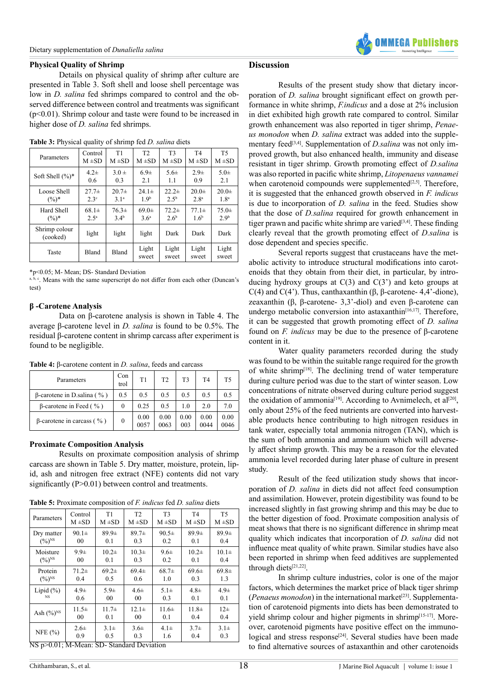### **Physical Quality of Shrimp**

Details on physical quality of shrimp after culture are presented in Table 3. Soft shell and loose shell percentage was low in *D. salina* fed shrimps compared to control and the observed difference between control and treatments was significant  $(p<0.01)$ . Shrimp colour and taste were found to be increased in higher dose of *D. salina* fed shrimps.

| Parameters                | Control          | T1               | T <sub>2</sub>   | T <sub>3</sub>   | T <sub>4</sub>   | T <sub>5</sub>   |
|---------------------------|------------------|------------------|------------------|------------------|------------------|------------------|
|                           | $M \pm SD$       | $M \pm SD$       | $M \pm SD$       | $M \pm SD$       | $M \pm SD$       | $M \pm SD$       |
| Soft Shell $(\%)^*$       | $4.2\pm$         | $3.0 \pm$        | 6.9 <sub>±</sub> | $5.6\pm$         | $2.9\pm$         | $5.0\pm$         |
|                           | 0.6              | 0.3              | 2.1              | 1.1              | 0.9              | 2.1              |
| Loose Shell               | $27.7\pm$        | $20.7\pm$        | $24.1 \pm$       | $22.2+$          | $20.0 \pm$       | $20.0\pm$        |
| $(\%)^*$                  | 2.3 <sup>c</sup> | 3.1 <sup>a</sup> | 1.9 <sup>b</sup> | $2.5^{b}$        | 2.8 <sup>a</sup> | 1.8 <sup>a</sup> |
| Hard Shell                | $68.1\pm$        | $76.3\pm$        | $69.0 \pm$       | $72.2+$          | $77.1\pm$        | $75.0 \pm$       |
| $(\%)^*$                  | 2.5 <sup>a</sup> | 3.4 <sup>b</sup> | 3.6 <sup>a</sup> | 2.6 <sup>b</sup> | 1.6 <sup>b</sup> | 2.9 <sup>b</sup> |
| Shrimp colour<br>(cooked) | light            | light            | light            | Dark             | Dark             | Dark             |
| Taste                     | <b>Bland</b>     | Bland            | Light<br>sweet   | Light<br>sweet   | Light<br>sweet   | Light<br>sweet   |

**Table 3:** Physical quality of shrimp fed *D. salina* diets

\*p<0.05; M- Mean; DS- Standard Deviation

a, b, c. Means with the same superscript do not differ from each other (Duncan's test)

## **β -Carotene Analysis**

Data on β-carotene analysis is shown in Table 4. The average β-carotene level in *D. salina* is found to be 0.5%. The residual β-carotene content in shrimp carcass after experiment is found to be negligible.

**Table 4:** β-carotene content in *D. salina*, feeds and carcass

| Parameters                        | Con<br>trol | T1           | T <sub>2</sub> | T <sub>3</sub> | T <sub>4</sub> | T5           |
|-----------------------------------|-------------|--------------|----------------|----------------|----------------|--------------|
| $\beta$ -carotene in D.salina (%) | 0.5         | 0.5          | 0.5            | 0.5            | 0.5            | 0.5          |
| $\beta$ -carotene in Feed (%)     | $\Omega$    | 0.25         | 0.5            | 1.0            | 2.0            | 7.0          |
| $β$ -carotene in carcass (%)      | 0           | 0.00<br>0057 | 0.00<br>0063   | 0.00<br>003    | 0.00<br>0044   | 0.00<br>0046 |

# **Proximate Composition Analysis**

Results on proximate composition analysis of shrimp carcass are shown in Table 5. Dry matter, moisture, protein, lipid, ash and nitrogen free extract (NFE) contents did not vary significantly (P>0.01) between control and treatments.

**Table 5:** Proximate composition of *F. indicus* fed *D. salina* diets

| Parameters                                | Control        | T1             | T <sub>2</sub> | T <sub>3</sub> | T <sub>4</sub> | T <sub>5</sub> |
|-------------------------------------------|----------------|----------------|----------------|----------------|----------------|----------------|
|                                           | $M \pm SD$     | $M \pm SD$     | $M \pm SD$     | $M \pm SD$     | $M \pm SD$     | $M \pm SD$     |
| Dry matter                                | $90.1 \pm$     | $89.9\pm$      | $89.7\pm$      | $90.5\pm$      | 89.9±          | 89.9±          |
| $(\%)^{NS}$                               | 00             | 0.1            | 0.3            | 0.2            | 0.1            | 0.4            |
| Moisture                                  | $9.9\pm$       | $10.2\pm$      | $10.3\pm$      | $9.6\pm$       | $10.2\pm$      | $10.1\pm$      |
| $(\%)^{\text{NS}}$                        | 0 <sup>0</sup> | 0.1            | 0.3            | 0.2            | 0.1            | 0.4            |
| Protein                                   | $71.2+$        | 69.2±          | $69.4 \pm$     | $68.7\pm$      | 69.6±          | $69.8\pm$      |
| $(\%)^{\text{NS}}$                        | 0.4            | 0.5            | 0.6            | 1.0            | 0.3            | 1.3            |
| Lipid $(\% )$                             | $4.9\pm$       | $5.9\pm$       | $4.6\pm$       | $5.1\pm$       | $4.8\pm$       | $4.9\pm$       |
| <b>NS</b>                                 | 0.6            | 0 <sub>0</sub> | 00             | 0.3            | 0.1            | 0.1            |
| Ash $(\%)^{\text{NS}}$                    | $11.5\pm$      | $11.7\pm$      | $12.1 \pm$     | $11.6\pm$      | $11.8\pm$      | $12\pm$        |
|                                           | 00             | 0.1            | 00             | 0.1            | 0.4            | 0.4            |
| NFE $(%)$                                 | $2.6\pm$       | $3.1\pm$       | $3.6\pm$       | $4.1\pm$       | $3.7\pm$       | $3.1\pm$       |
|                                           | 0.9            | 0.5            | 0.3            | 1.6            | 0.4            | 0.3            |
| NS p>0.01; M-Mean: SD- Standard Deviation |                |                |                |                |                |                |

## **Discussion**

Results of the present study show that dietary incorporation of *D. salina* brought significant effect on growth performance in white shrimp, *F.indicus* and a dose at 2% inclusion in diet exhibited high growth rate compared to control. Similar growth enhancement was also reported in tiger shrimp, *Penaeus monodon* when *D. salina* extract was added into the supplementary feed<sup>[3,4]</sup>. Supplementation of *D.salina* was not only improved growth, but also enhanced health, immunity and disease resistant in tiger shrimp. Growth promoting effect of *D.salina*  was also reported in pacific white shrimp, *Litopenaeus vannamei*  when carotenoid compounds were supplemented<sup>[2,5]</sup>. Therefore, it is suggested that the enhanced growth observed in *F. indicus* is due to incorporation of *D. salina* in the feed. Studies show that the dose of *D.salina* required for growth enhancement in tiger prawn and pacific white shrimp are varied $[3,4]$ . These finding clearly reveal that the growth promoting effect of *D.salina* is dose dependent and species specific.

Several reports suggest that crustaceans have the metabolic activity to introduce structural modifications into carotenoids that they obtain from their diet, in particular, by introducing hydroxy groups at  $C(3)$  and  $C(3')$  and keto groups at C(4) and C(4'). Thus, canthaxanthin ( $\beta$ ,  $\beta$ -carotene- 4,4'-dione), zeaxanthin (β, β-carotene- 3,3'-diol) and even β-carotene can undergo metabolic conversion into astaxanthin $[16,17]$ . Therefore, it can be suggested that growth promoting effect of *D. salina*  found on *F. indicus* may be due to the presence of β-carotene content in it.

Water quality parameters recorded during the study was found to be within the suitable range required for the growth of white shrim[p\[18\]](#page-4-11). The declining trend of water temperature during culture period was due to the start of winter season. Low concentrations of nitrate observed during culture period suggest the oxidation of ammonia<sup>[19]</sup>. According to Avnimelech, et  $aI^{[20]}$ , only about 25% of the feed nutrients are converted into harvestable products hence contributing to high nitrogen residues in tank water, especially total ammonia nitrogen (TAN), which is the sum of both ammonia and ammonium which will adversely affect shrimp growth. This may be a reason for the elevated ammonia level recorded during later phase of culture in present study.

Result of the feed utilization study shows that incorporation of *D. salina* in diets did not affect feed consumption and assimilation. However, protein digestibility was found to be increased slightly in fast growing shrimp and this may be due to the better digestion of food. Proximate composition analysis of meat shows that there is no significant difference in shrimp meat quality which indicates that incorporation of *D. salina* did not influence meat quality of white prawn. Similar studies have also been reported in shrimp when feed additives are supplemented through diet[s\[21,22\]](#page-4-14).

In shrimp culture industries, color is one of the major factors, which determines the market price of black tiger shrimp (*Penaeus monodon*) in the international market<sup>[\[23\]](#page-4-15)</sup>. Supplementation of carotenoid pigments into diets has been demonstrated to yield shrimp colour and higher pigments in shrimp<sup>[15-17]</sup>. Moreover, carotenoid pigments have positive effect on the immuno-logical and stress response<sup>[\[24\]](#page-4-17)</sup>. Several studies have been made to find alternative sources of astaxanthin and other carotenoids

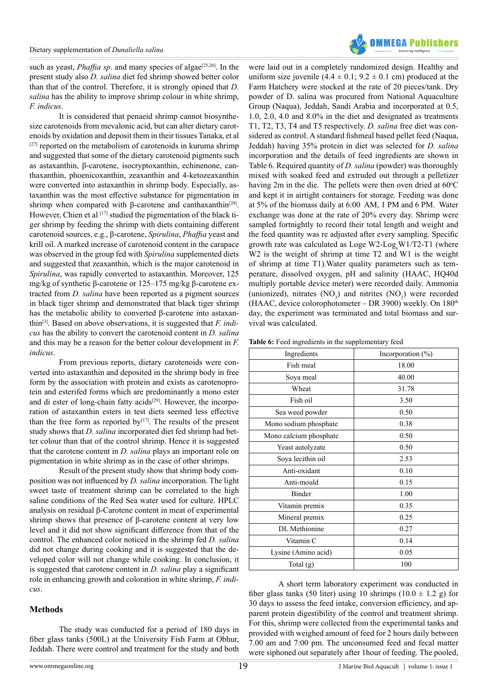such as yeast, *Phaffia sp.* and many species of algae<sup>[25,26]</sup>. In the present study also *D. salina* diet fed shrimp showed better color than that of the control. Therefore, it is strongly opined that *D. salina* has the ability to improve shrimp colour in white shrimp, *F. indicus*.

It is considered that penaeid shrimp cannot biosynthesize carotenoids from mevalonic acid, but can alter dietary carotenoids by oxidation and deposit them in their tissues Tanaka, et al [\[27\]](#page-4-19) reported on the metabolism of carotenoids in kuruma shrimp and suggested that some of the dietary carotenoid pigments such as astaxanthin, β-carotene, isocryptoxanthin, echinenone, canthaxanthin, phoenicoxanthin, zeaxanthin and 4-ketozeaxanthin were converted into astaxanthin in shrimp body. Especially, astaxanthin was the most effective substance for pigmentation in shrimp when compared with β-carotene and canthaxanthin<sup>[\[28\]](#page-4-20)</sup>. However, Chien et al  $[17]$  studied the pigmentation of the black tiger shrimp by feeding the shrimp with diets containing different carotenoid sources, e.g., β-carotene, *Spirulina*, *Phaffia* yeast and krill oil. A marked increase of carotenoid content in the carapace was observed in the group fed with *Spirulina* supplemented diets and suggested that zeaxanthin, which is the major carotenoid in *Spirulina*, was rapidly converted to astaxanthin. Moreover, 125 mg/kg of synthetic β-carotene or 125–175 mg/kg β-carotene extracted from *D. salina* have been reported as a pigment sources in black tiger shrimp and demonstrated that black tiger shrimp has the metabolic ability to converted β-carotene into astaxanthin[\[3\]](#page-4-1). Based on above observations, it is suggested that *F. indicus* has the ability to convert the carotenoid content in *D. salina* and this may be a reason for the better colour development in *F. indicus*.

From previous reports, dietary carotenoids were converted into astaxanthin and deposited in the shrimp body in free form by the association with protein and exists as carotenoprotein and esterifed forms which are predominantly a mono ester and di ester of long-chain fatty acids<sup>[29]</sup>. However, the incorporation of astaxanthin esters in test diets seemed less effective than the free form as reported by $[17]$ . The results of the present study shows that *D. salina* incorporated diet fed shrimp had better colour than that of the control shrimp. Hence it is suggested that the carotene content in *D. salina* plays an important role on pigmentation in white shrimp as in the case of other shrimps.

Result of the present study show that shrimp body composition was not influenced by *D. salina* incorporation. The light sweet taste of treatment shrimp can be correlated to the high saline conditions of the Red Sea water used for culture. HPLC analysis on residual β-Carotene content in meat of experimental shrimp shows that presence of β-carotene content at very low level and it did not show significant difference from that of the control. The enhanced color noticed in the shrimp fed *D. salina*  did not change during cooking and it is suggested that the developed color will not change while cooking. In conclusion, it is suggested that carotene content in *D. salina* play a significant role in enhancing growth and coloration in white shrimp, *F. indicus*.

# **Methods**

The study was conducted for a period of 180 days in fiber glass tanks (500L) at the University Fish Farm at Obhur, Jeddah. There were control and treatment for the study and both

uniform size juvenile  $(4.4 \pm 0.1; 9.2 \pm 0.1)$  cm produced at the Farm Hatchery were stocked at the rate of 20 pieces/tank. Dry powder of D. salina was procured from National Aquaculture Group (Naqua), Jeddah, Saudi Arabia and incorporated at 0.5, 1.0, 2.0, 4.0 and 8.0% in the diet and designated as treatments T1, T2, T3, T4 and T5 respectively. *D. salina* free diet was considered as control. A standard fishmeal based pellet feed (Naqua, Jeddah) having 35% protein in diet was selected for *D. salina*  incorporation and the details of feed ingredients are shown in Table 6. Required quantity of *D. salina* (powder) was thoroughly mixed with soaked feed and extruded out through a pelletizer having  $2m$  in the die. The pellets were then oven dried at  $60^{\circ}$ C and kept it in airtight containers for storage. Feeding was done at 5% of the biomass daily at 6:00 AM, 1 PM and 6 PM. Water exchange was done at the rate of 20% every day. Shrimp were sampled fortnightly to record their total length and weight and the feed quantity was re adjusted after every sampling. Specific growth rate was calculated as Loge W2-Log<sub>e</sub>W1/T2-T1 (where W<sub>2</sub> is the weight of shrimp at time T<sub>2</sub> and W<sub>1</sub> is the weight of shrimp at time T1).Water quality parameters such as temperature, dissolved oxygen, pH and salinity (HAAC, HQ40d multiply portable device meter) were recorded daily. Ammonia (unionized), nitrates  $(NO_3)$  and nitrites  $(NO_2)$  were recorded (HAAC, device colorophotometer – DR 3900) weekly. On  $180<sup>th</sup>$ day, the experiment was terminated and total biomass and survival was calculated.

were laid out in a completely randomized design. Healthy and

| Table 6: Feed ingredients in the supplementary feed |                     |
|-----------------------------------------------------|---------------------|
| $\Gamma_{\alpha\alpha\alpha\alpha}$ dianta          | La a a sua a nati a |

| Ingredients            | Incorporation $(\%)$ |  |  |
|------------------------|----------------------|--|--|
| Fish meal              | 18.00                |  |  |
| Soya meal              | 40.00                |  |  |
| Wheat                  | 31.78                |  |  |
| Fish oil               | 3.50                 |  |  |
| Sea weed powder        | 0.50                 |  |  |
| Mono sodium phosphate  | 0.38                 |  |  |
| Mono calcium phosphate | 0.50                 |  |  |
| Yeast autolyzate       | 0.50                 |  |  |
| Soya lecithin oil      | 2.53                 |  |  |
| Anti-oxidant           | 0.10                 |  |  |
| Anti-mould             | 0.15                 |  |  |
| Binder                 | 1.00                 |  |  |
| Vitamin premix         | 0.35                 |  |  |
| Mineral premix         | 0.25                 |  |  |
| DL Methionine          | 0.27                 |  |  |
| Vitamin C              | 0.14                 |  |  |
| Lysine (Amino acid)    | 0.05                 |  |  |
| Total (g)              | 100                  |  |  |
|                        |                      |  |  |

A short term laboratory experiment was conducted in fiber glass tanks (50 liter) using 10 shrimps (10.0  $\pm$  1.2 g) for 30 days to assess the feed intake, conversion efficiency, and apparent protein digestibility of the control and treatment shrimp. For this, shrimp were collected from the experimental tanks and provided with weighed amount of feed for 2 hours daily between 7.00 am and 7:00 pm. The unconsumed feed and fecal matter were siphoned out separately after 1hour of feeding. The pooled,